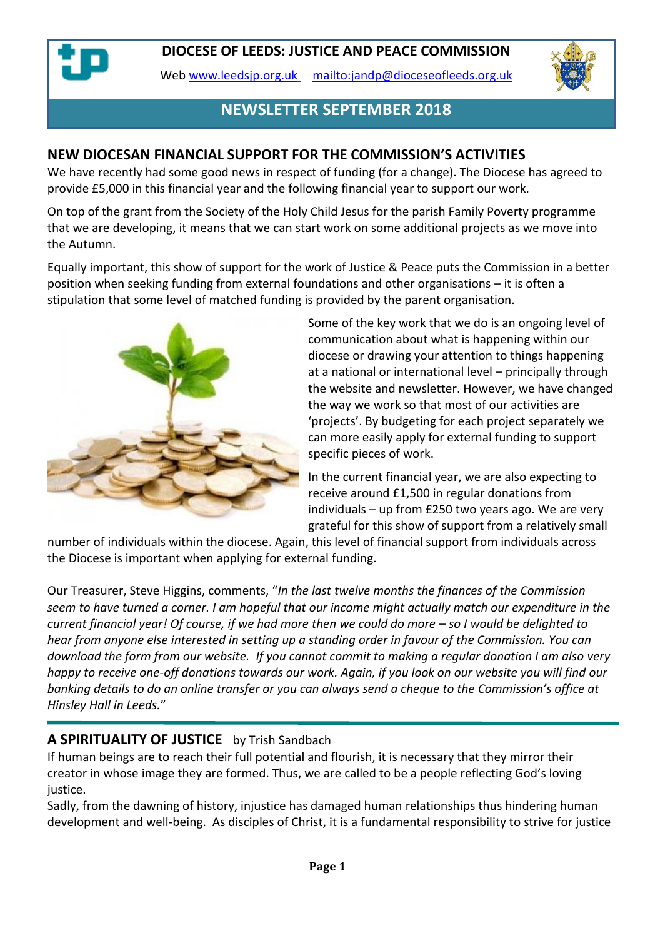Web [www.leedsjp.org.uk](http://www.leedsjp.org.uk/) <mailto:jandp@dioceseofleeds.org.uk>



# **NEWSLETTER SEPTEMBER 2018**

#### **NEW DIOCESAN FINANCIAL SUPPORT FOR THE COMMISSION'S ACTIVITIES**

We have recently had some good news in respect of funding (for a change). The Diocese has agreed to provide £5,000 in this financial year and the following financial year to support our work.

On top of the grant from the Society of the Holy Child Jesus for the parish Family Poverty programme that we are developing, it means that we can start work on some additional projects as we move into the Autumn.

Equally important, this show of support for the work of Justice & Peace puts the Commission in a better position when seeking funding from external foundations and other organisations – it is often a stipulation that some level of matched funding is provided by the parent organisation.



Some of the key work that we do is an ongoing level of communication about what is happening within our diocese or drawing your attention to things happening at a national or international level – principally through the website and newsletter. However, we have changed the way we work so that most of our activities are 'projects'. By budgeting for each project separately we can more easily apply for external funding to support specific pieces of work.

In the current financial year, we are also expecting to receive around £1,500 in regular donations from individuals – up from £250 two years ago. We are very grateful for this show of support from a relatively small

number of individuals within the diocese. Again, this level of financial support from individuals across the Diocese is important when applying for external funding.

Our Treasurer, Steve Higgins, comments, "*In the last twelve months the finances of the Commission seem to have turned a corner. I am hopeful that our income might actually match our expenditure in the current financial year! Of course, if we had more then we could do more – so I would be delighted to hear from anyone else interested in setting up a standing order in favour of the Commission. You can download the form from our website. If you cannot commit to making a regular donation I am also very happy to receive one-off donations towards our work. Again, if you look on our website you will find our banking details to do an online transfer or you can always send a cheque to the Commission's office at Hinsley Hall in Leeds.*"

#### **A SPIRITUALITY OF JUSTICE** by Trish Sandbach

If human beings are to reach their full potential and flourish, it is necessary that they mirror their creator in whose image they are formed. Thus, we are called to be a people reflecting God's loving justice.

Sadly, from the dawning of history, injustice has damaged human relationships thus hindering human development and well-being. As disciples of Christ, it is a fundamental responsibility to strive for justice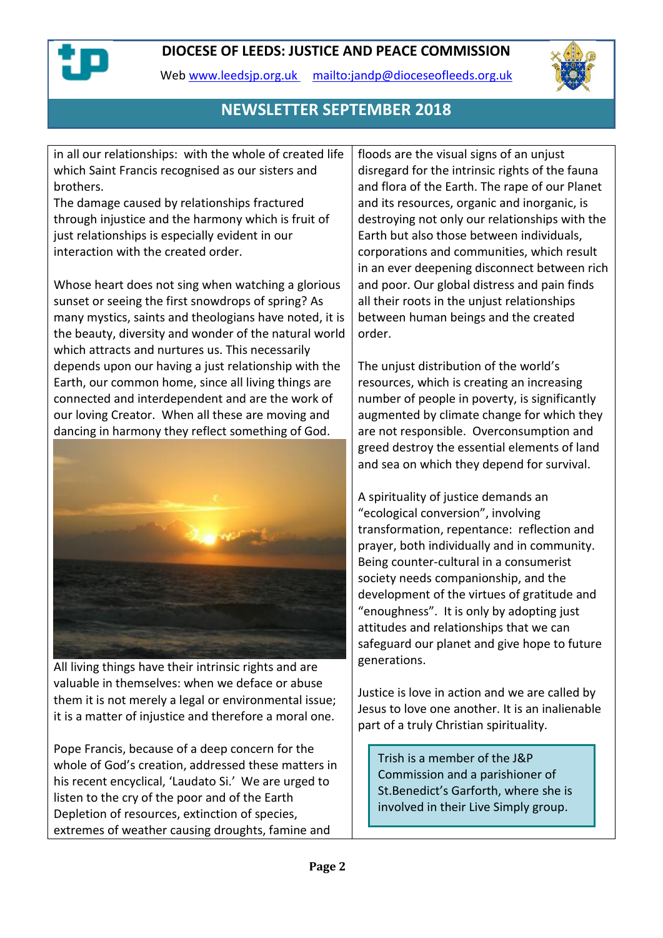

Web [www.leedsjp.org.uk](http://www.leedsjp.org.uk/) <mailto:jandp@dioceseofleeds.org.uk>



## **NEWSLETTER SEPTEMBER 2018**

in all our relationships: with the whole of created life which Saint Francis recognised as our sisters and brothers.

The damage caused by relationships fractured through injustice and the harmony which is fruit of just relationships is especially evident in our interaction with the created order.

Whose heart does not sing when watching a glorious sunset or seeing the first snowdrops of spring? As many mystics, saints and theologians have noted, it is the beauty, diversity and wonder of the natural world which attracts and nurtures us. This necessarily depends upon our having a just relationship with the Earth, our common home, since all living things are connected and interdependent and are the work of our loving Creator. When all these are moving and dancing in harmony they reflect something of God.



All living things have their intrinsic rights and are valuable in themselves: when we deface or abuse them it is not merely a legal or environmental issue; it is a matter of injustice and therefore a moral one.

Pope Francis, because of a deep concern for the whole of God's creation, addressed these matters in his recent encyclical, 'Laudato Si.' We are urged to listen to the cry of the poor and of the Earth Depletion of resources, extinction of species, extremes of weather causing droughts, famine and

floods are the visual signs of an unjust disregard for the intrinsic rights of the fauna and flora of the Earth. The rape of our Planet and its resources, organic and inorganic, is destroying not only our relationships with the Earth but also those between individuals, corporations and communities, which result in an ever deepening disconnect between rich and poor. Our global distress and pain finds all their roots in the unjust relationships between human beings and the created order.

The unjust distribution of the world's resources, which is creating an increasing number of people in poverty, is significantly augmented by climate change for which they are not responsible. Overconsumption and greed destroy the essential elements of land and sea on which they depend for survival.

A spirituality of justice demands an "ecological conversion", involving transformation, repentance: reflection and prayer, both individually and in community. Being counter-cultural in a consumerist society needs companionship, and the development of the virtues of gratitude and "enoughness". It is only by adopting just attitudes and relationships that we can safeguard our planet and give hope to future generations.

Justice is love in action and we are called by Jesus to love one another. It is an inalienable part of a truly Christian spirituality.

Trish is a member of the J&P Commission and a parishioner of St.Benedict's Garforth, where she is involved in their Live Simply group.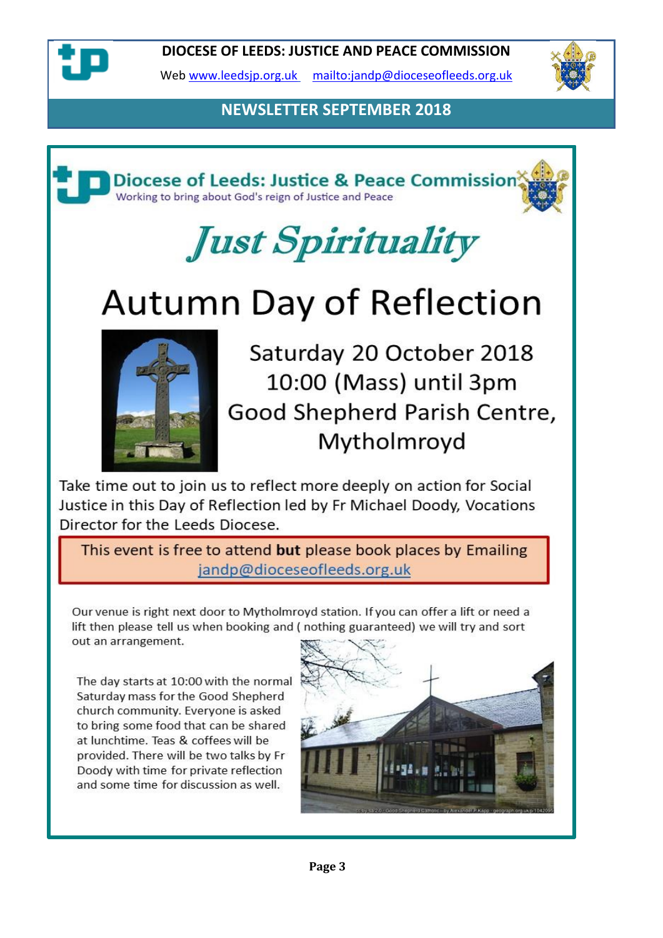

Web [www.leedsjp.org.uk](http://www.leedsjp.org.uk/) <mailto:jandp@dioceseofleeds.org.uk>



# **NEWSLETTER SEPTEMBER 2018**



# Just Spirituality

# **Autumn Day of Reflection**



Saturday 20 October 2018 10:00 (Mass) until 3pm Good Shepherd Parish Centre, Mytholmroyd

Take time out to join us to reflect more deeply on action for Social Justice in this Day of Reflection led by Fr Michael Doody, Vocations Director for the Leeds Diocese.

This event is free to attend but please book places by Emailing jandp@dioceseofleeds.org.uk

Our venue is right next door to Mytholmroyd station. If you can offer a lift or need a lift then please tell us when booking and (nothing guaranteed) we will try and sort out an arrangement.

The day starts at 10:00 with the normal Saturday mass for the Good Shepherd church community. Everyone is asked to bring some food that can be shared at lunchtime. Teas & coffees will be provided. There will be two talks by Fr Doody with time for private reflection and some time for discussion as well.

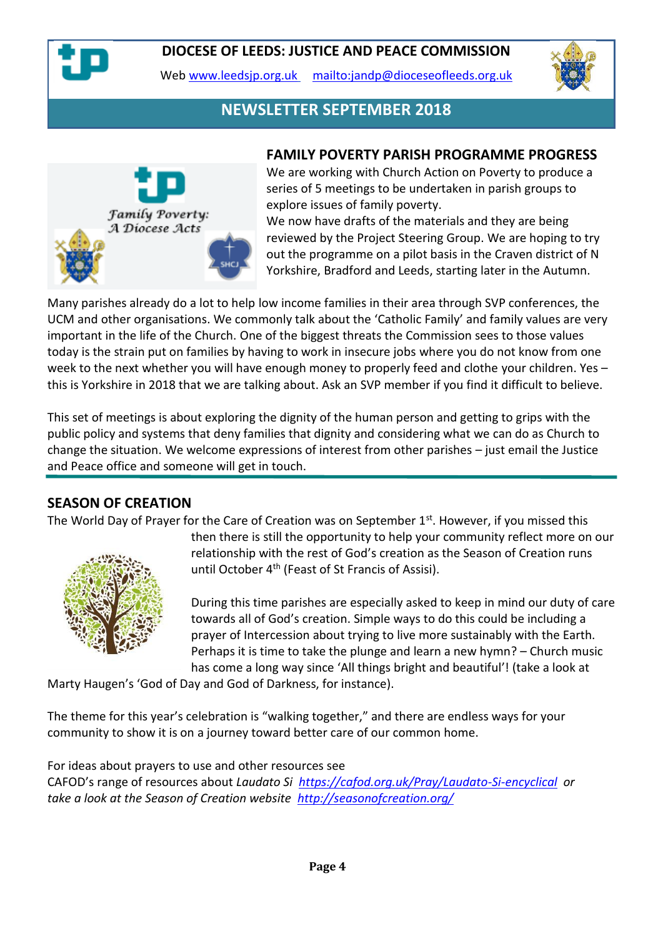

Web [www.leedsjp.org.uk](http://www.leedsjp.org.uk/) <mailto:jandp@dioceseofleeds.org.uk>



## **NEWSLETTER SEPTEMBER 2018**



#### **FAMILY POVERTY PARISH PROGRAMME PROGRESS**

We are working with Church Action on Poverty to produce a series of 5 meetings to be undertaken in parish groups to explore issues of family poverty.

We now have drafts of the materials and they are being reviewed by the Project Steering Group. We are hoping to try out the programme on a pilot basis in the Craven district of N Yorkshire, Bradford and Leeds, starting later in the Autumn.

Many parishes already do a lot to help low income families in their area through SVP conferences, the UCM and other organisations. We commonly talk about the 'Catholic Family' and family values are very important in the life of the Church. One of the biggest threats the Commission sees to those values today is the strain put on families by having to work in insecure jobs where you do not know from one week to the next whether you will have enough money to properly feed and clothe your children. Yes – this is Yorkshire in 2018 that we are talking about. Ask an SVP member if you find it difficult to believe.

This set of meetings is about exploring the dignity of the human person and getting to grips with the public policy and systems that deny families that dignity and considering what we can do as Church to change the situation. We welcome expressions of interest from other parishes – just email the Justice and Peace office and someone will get in touch.

#### **SEASON OF CREATION**

The World Day of Prayer for the Care of Creation was on September 1<sup>st</sup>. However, if you missed this



then there is still the opportunity to help your community reflect more on our relationship with the rest of God's creation as the Season of Creation runs until October 4<sup>th</sup> (Feast of St Francis of Assisi).

During this time parishes are especially asked to keep in mind our duty of care towards all of God's creation. Simple ways to do this could be including a prayer of Intercession about trying to live more sustainably with the Earth. Perhaps it is time to take the plunge and learn a new hymn? – Church music has come a long way since 'All things bright and beautiful'! (take a look at

Marty Haugen's 'God of Day and God of Darkness, for instance).

The theme for this year's celebration is "walking together," and there are endless ways for your community to show it is on a journey toward better care of our common home.

For ideas about prayers to use and other resources see CAFOD's range of resources about *Laudato Si <https://cafod.org.uk/Pray/Laudato-Si-encyclical> or take a look at the Season of Creation website <http://seasonofcreation.org/>*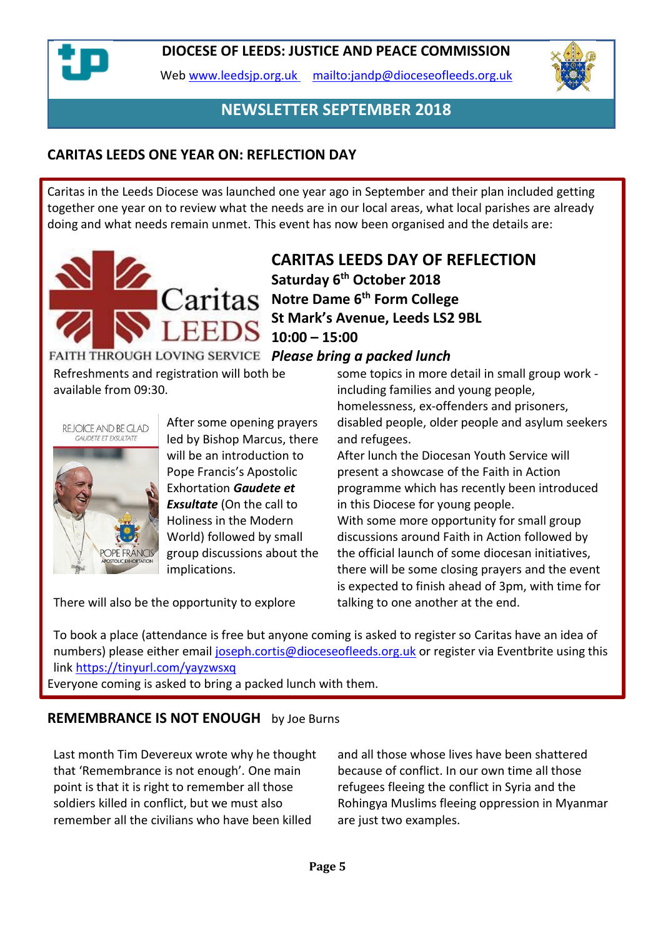

Web [www.leedsjp.org.uk](http://www.leedsjp.org.uk/) <mailto:jandp@dioceseofleeds.org.uk>



### **NEWSLETTER SEPTEMBER 2018**

#### **CARITAS LEEDS ONE YEAR ON: REFLECTION DAY**

Caritas in the Leeds Diocese was launched one year ago in September and their plan included getting together one year on to review what the needs are in our local areas, what local parishes are already doing and what needs remain unmet. This event has now been organised and the details are:



# **CARITAS LEEDS DAY OF REFLECTION Saturday 6th October 2018 Notre Dame 6th Form College St Mark's Avenue, Leeds LS2 9BL 10:00 – 15:00**

FAITH THROUGH LOVING SERVICE Please bring a packed lunch

Refreshments and registration will both be available from 09:30.



After some opening prayers led by Bishop Marcus, there will be an introduction to Pope Francis's Apostolic Exhortation *Gaudete et Exsultate* (On the call to Holiness in the Modern World) followed by small group discussions about the implications.

some topics in more detail in small group work including families and young people, homelessness, ex-offenders and prisoners, disabled people, older people and asylum seekers and refugees.

After lunch the Diocesan Youth Service will present a showcase of the Faith in Action programme which has recently been introduced in this Diocese for young people. With some more opportunity for small group discussions around Faith in Action followed by the official launch of some diocesan initiatives, there will be some closing prayers and the event is expected to finish ahead of 3pm, with time for talking to one another at the end.

There will also be the opportunity to explore

To book a place (attendance is free but anyone coming is asked to register so Caritas have an idea of numbers) please either email [joseph.cortis@dioceseofleeds.org.uk](mailto:joseph.cortis@dioceseofleeds.org.uk) or register via Eventbrite using this link<https://tinyurl.com/yayzwsxq>

Everyone coming is asked to bring a packed lunch with them.

#### **REMEMBRANCE IS NOT ENOUGH** by Joe Burns

Last month Tim Devereux wrote why he thought that 'Remembrance is not enough'. One main point is that it is right to remember all those soldiers killed in conflict, but we must also remember all the civilians who have been killed

and all those whose lives have been shattered because of conflict. In our own time all those refugees fleeing the conflict in Syria and the Rohingya Muslims fleeing oppression in Myanmar are just two examples.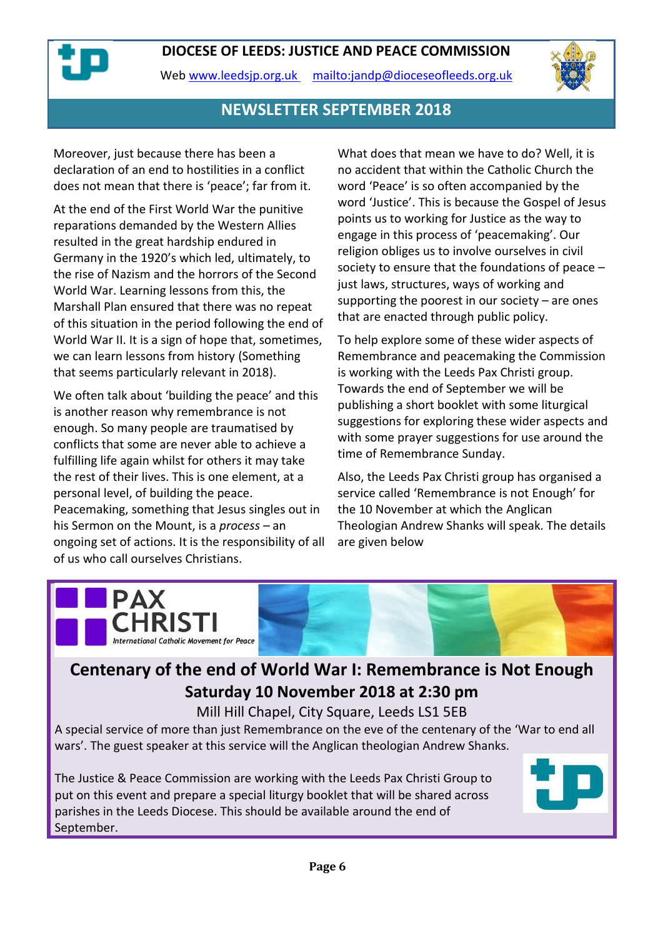

Web [www.leedsjp.org.uk](http://www.leedsjp.org.uk/) <mailto:jandp@dioceseofleeds.org.uk>



#### **NEWSLETTER SEPTEMBER 2018**

Moreover, just because there has been a declaration of an end to hostilities in a conflict does not mean that there is 'peace'; far from it.

At the end of the First World War the punitive reparations demanded by the Western Allies resulted in the great hardship endured in Germany in the 1920's which led, ultimately, to the rise of Nazism and the horrors of the Second World War. Learning lessons from this, the Marshall Plan ensured that there was no repeat of this situation in the period following the end of World War II. It is a sign of hope that, sometimes, we can learn lessons from history (Something that seems particularly relevant in 2018).

We often talk about 'building the peace' and this is another reason why remembrance is not enough. So many people are traumatised by conflicts that some are never able to achieve a fulfilling life again whilst for others it may take the rest of their lives. This is one element, at a personal level, of building the peace. Peacemaking, something that Jesus singles out in his Sermon on the Mount, is a *process –* an ongoing set of actions. It is the responsibility of all of us who call ourselves Christians.

What does that mean we have to do? Well, it is no accident that within the Catholic Church the word 'Peace' is so often accompanied by the word 'Justice'. This is because the Gospel of Jesus points us to working for Justice as the way to engage in this process of 'peacemaking'. Our religion obliges us to involve ourselves in civil society to ensure that the foundations of peace – just laws, structures, ways of working and supporting the poorest in our society  $-$  are ones that are enacted through public policy.

To help explore some of these wider aspects of Remembrance and peacemaking the Commission is working with the Leeds Pax Christi group. Towards the end of September we will be publishing a short booklet with some liturgical suggestions for exploring these wider aspects and with some prayer suggestions for use around the time of Remembrance Sunday.

Also, the Leeds Pax Christi group has organised a service called 'Remembrance is not Enough' for the 10 November at which the Anglican Theologian Andrew Shanks will speak. The details are given below



# **Centenary of the end of World War I: Remembrance is Not Enough Saturday 10 November 2018 at 2:30 pm**

Mill Hill Chapel, City Square, Leeds LS1 5EB

A special service of more than just Remembrance on the eve of the centenary of the 'War to end all wars'. The guest speaker at this service will the Anglican theologian Andrew Shanks.

The Justice & Peace Commission are working with the Leeds Pax Christi Group to put on this event and prepare a special liturgy booklet that will be shared across parishes in the Leeds Diocese. This should be available around the end of September.

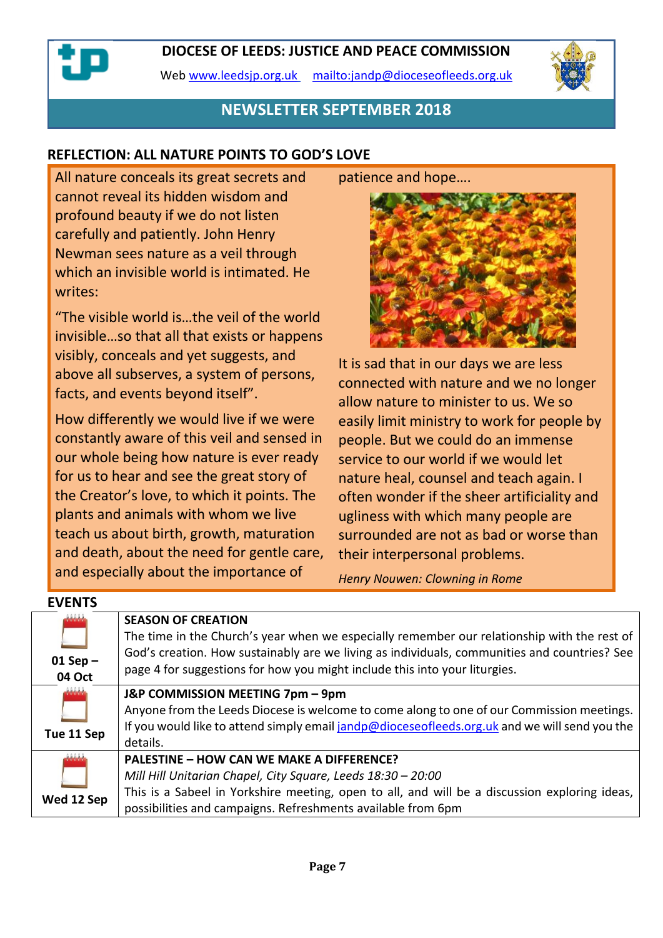Web [www.leedsjp.org.uk](http://www.leedsjp.org.uk/) <mailto:jandp@dioceseofleeds.org.uk>



#### **NEWSLETTER SEPTEMBER 2018**

#### **REFLECTION: ALL NATURE POINTS TO GOD'S LOVE**

All nature conceals its great secrets and cannot reveal its hidden wisdom and profound beauty if we do not listen carefully and patiently. John Henry Newman sees nature as a veil through which an invisible world is intimated. He writes:

"The visible world is…the veil of the world invisible…so that all that exists or happens visibly, conceals and yet suggests, and above all subserves, a system of persons, facts, and events beyond itself".

How differently we would live if we were constantly aware of this veil and sensed in our whole being how nature is ever ready for us to hear and see the great story of the Creator's love, to which it points. The plants and animals with whom we live teach us about birth, growth, maturation and death, about the need for gentle care, and especially about the importance of

**EVENTS**

patience and hope….



It is sad that in our days we are less connected with nature and we no longer allow nature to minister to us. We so easily limit ministry to work for people by people. But we could do an immense service to our world if we would let nature heal, counsel and teach again. I often wonder if the sheer artificiality and ugliness with which many people are surrounded are not as bad or worse than their interpersonal problems.

*Henry Nouwen: Clowning in Rome*

| EVENIS                            |                                                                                                                                                                                                                                                                                                        |
|-----------------------------------|--------------------------------------------------------------------------------------------------------------------------------------------------------------------------------------------------------------------------------------------------------------------------------------------------------|
| فتشادله<br>$01$ Sep $-$<br>04 Oct | <b>SEASON OF CREATION</b><br>The time in the Church's year when we especially remember our relationship with the rest of<br>God's creation. How sustainably are we living as individuals, communities and countries? See<br>page 4 for suggestions for how you might include this into your liturgies. |
| والشامامات<br>Tue 11 Sep          | J&P COMMISSION MEETING 7pm - 9pm<br>Anyone from the Leeds Diocese is welcome to come along to one of our Commission meetings.<br>If you would like to attend simply email jandp@dioceseofleeds.org.uk and we will send you the<br>details.                                                             |
| واماماما<br>Wed 12 Sep            | <b>PALESTINE - HOW CAN WE MAKE A DIFFERENCE?</b><br>Mill Hill Unitarian Chapel, City Square, Leeds 18:30 - 20:00<br>This is a Sabeel in Yorkshire meeting, open to all, and will be a discussion exploring ideas,<br>possibilities and campaigns. Refreshments available from 6pm                      |